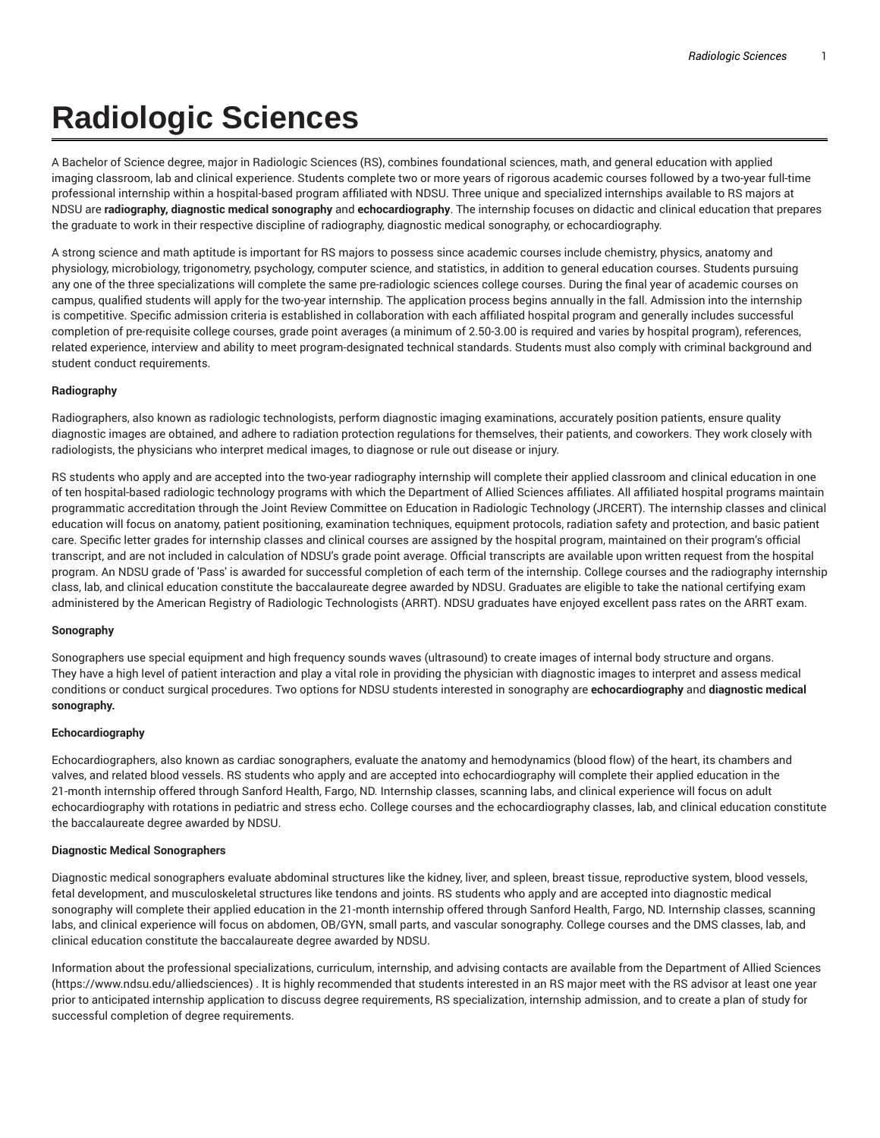# **Radiologic Sciences**

A Bachelor of Science degree, major in Radiologic Sciences (RS), combines foundational sciences, math, and general education with applied imaging classroom, lab and clinical experience. Students complete two or more years of rigorous academic courses followed by a two-year full-time professional internship within a hospital-based program affiliated with NDSU. Three unique and specialized internships available to RS majors at NDSU are **radiography, diagnostic medical sonography** and **echocardiography**. The internship focuses on didactic and clinical education that prepares the graduate to work in their respective discipline of radiography, diagnostic medical sonography, or echocardiography.

A strong science and math aptitude is important for RS majors to possess since academic courses include chemistry, physics, anatomy and physiology, microbiology, trigonometry, psychology, computer science, and statistics, in addition to general education courses. Students pursuing any one of the three specializations will complete the same pre-radiologic sciences college courses. During the final year of academic courses on campus, qualified students will apply for the two-year internship. The application process begins annually in the fall. Admission into the internship is competitive. Specific admission criteria is established in collaboration with each affiliated hospital program and generally includes successful completion of pre-requisite college courses, grade point averages (a minimum of 2.50-3.00 is required and varies by hospital program), references, related experience, interview and ability to meet program-designated technical standards. Students must also comply with criminal background and student conduct requirements.

### **Radiography**

Radiographers, also known as radiologic technologists, perform diagnostic imaging examinations, accurately position patients, ensure quality diagnostic images are obtained, and adhere to radiation protection regulations for themselves, their patients, and coworkers. They work closely with radiologists, the physicians who interpret medical images, to diagnose or rule out disease or injury.

RS students who apply and are accepted into the two-year radiography internship will complete their applied classroom and clinical education in one of ten hospital-based radiologic technology programs with which the Department of Allied Sciences affiliates. All affiliated hospital programs maintain programmatic accreditation through the Joint Review Committee on Education in Radiologic Technology (JRCERT). The internship classes and clinical education will focus on anatomy, patient positioning, examination techniques, equipment protocols, radiation safety and protection, and basic patient care. Specific letter grades for internship classes and clinical courses are assigned by the hospital program, maintained on their program's official transcript, and are not included in calculation of NDSU's grade point average. Official transcripts are available upon written request from the hospital program. An NDSU grade of 'Pass' is awarded for successful completion of each term of the internship. College courses and the radiography internship class, lab, and clinical education constitute the baccalaureate degree awarded by NDSU. Graduates are eligible to take the national certifying exam administered by the American Registry of Radiologic Technologists (ARRT). NDSU graduates have enjoyed excellent pass rates on the ARRT exam.

### **Sonography**

Sonographers use special equipment and high frequency sounds waves (ultrasound) to create images of internal body structure and organs. They have a high level of patient interaction and play a vital role in providing the physician with diagnostic images to interpret and assess medical conditions or conduct surgical procedures. Two options for NDSU students interested in sonography are **echocardiography** and **diagnostic medical sonography.**

### **Echocardiography**

Echocardiographers, also known as cardiac sonographers, evaluate the anatomy and hemodynamics (blood flow) of the heart, its chambers and valves, and related blood vessels. RS students who apply and are accepted into echocardiography will complete their applied education in the 21-month internship offered through Sanford Health, Fargo, ND. Internship classes, scanning labs, and clinical experience will focus on adult echocardiography with rotations in pediatric and stress echo. College courses and the echocardiography classes, lab, and clinical education constitute the baccalaureate degree awarded by NDSU.

#### **Diagnostic Medical Sonographers**

Diagnostic medical sonographers evaluate abdominal structures like the kidney, liver, and spleen, breast tissue, reproductive system, blood vessels, fetal development, and musculoskeletal structures like tendons and joints. RS students who apply and are accepted into diagnostic medical sonography will complete their applied education in the 21-month internship offered through Sanford Health, Fargo, ND. Internship classes, scanning labs, and clinical experience will focus on abdomen, OB/GYN, small parts, and vascular sonography. College courses and the DMS classes, lab, and clinical education constitute the baccalaureate degree awarded by NDSU.

Information about the professional specializations, curriculum, internship, and advising contacts are available from the Department of Allied Sciences (https://www.ndsu.edu/alliedsciences) . It is highly recommended that students interested in an RS major meet with the RS advisor at least one year prior to anticipated internship application to discuss degree requirements, RS specialization, internship admission, and to create a plan of study for successful completion of degree requirements.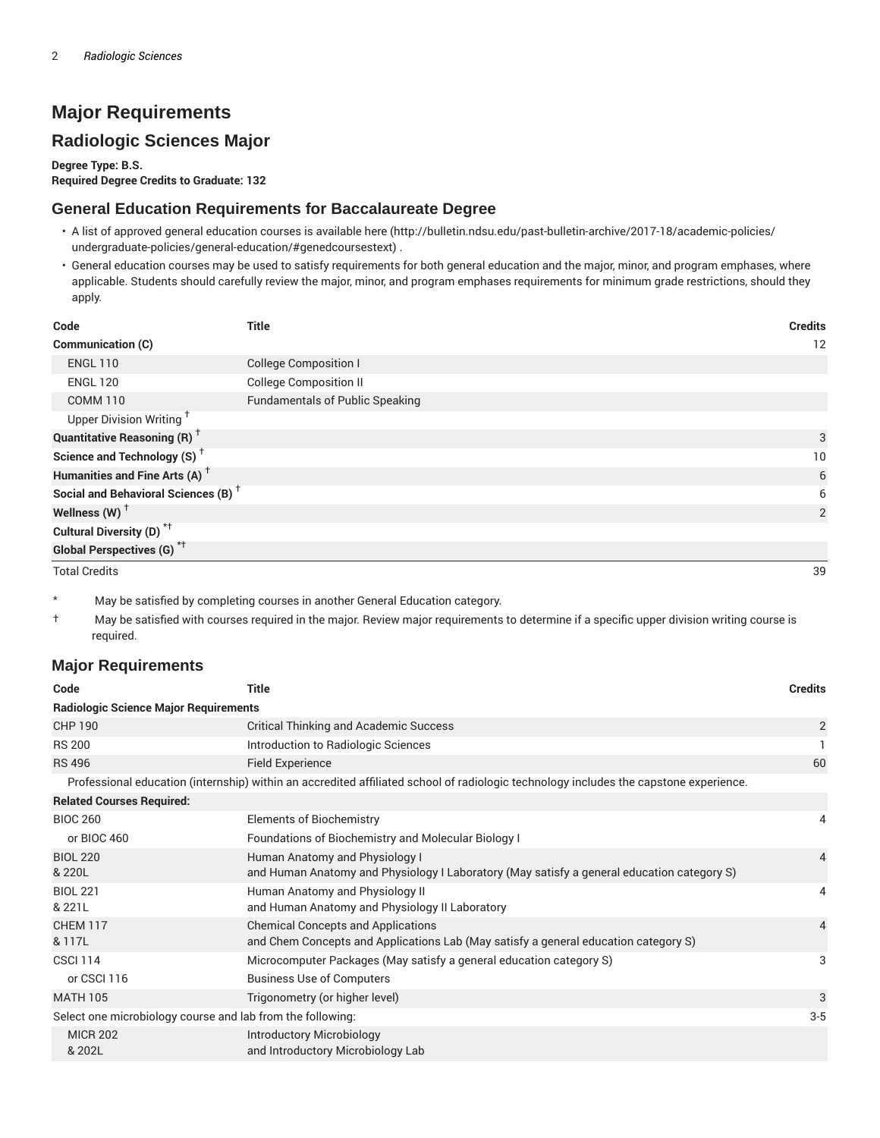# **Major Requirements**

# **Radiologic Sciences Major**

**Degree Type: B.S. Required Degree Credits to Graduate: 132**

### **General Education Requirements for Baccalaureate Degree**

- A list of approved general education courses is available here (http://bulletin.ndsu.edu/past-bulletin-archive/2017-18/academic-policies/ undergraduate-policies/general-education/#genedcoursestext) .
- General education courses may be used to satisfy requirements for both general education and the major, minor, and program emphases, where applicable. Students should carefully review the major, minor, and program emphases requirements for minimum grade restrictions, should they apply.

| Code                                            | <b>Title</b>                           | <b>Credits</b> |
|-------------------------------------------------|----------------------------------------|----------------|
| <b>Communication (C)</b>                        |                                        | 12             |
| <b>ENGL 110</b>                                 | <b>College Composition I</b>           |                |
| <b>ENGL 120</b>                                 | <b>College Composition II</b>          |                |
| <b>COMM 110</b>                                 | <b>Fundamentals of Public Speaking</b> |                |
| Upper Division Writing <sup>+</sup>             |                                        |                |
| <b>Quantitative Reasoning (R)</b> <sup>†</sup>  |                                        | 3              |
| Science and Technology (S) <sup>+</sup>         |                                        | 10             |
| Humanities and Fine Arts (A) <sup>+</sup>       |                                        | 6              |
| Social and Behavioral Sciences (B) <sup>+</sup> |                                        | 6              |
| Wellness (W) $^{\dagger}$                       |                                        | 2              |
| Cultural Diversity (D) <sup>*†</sup>            |                                        |                |
| <b>Global Perspectives (G)</b> <sup>*†</sup>    |                                        |                |

Total Credits 39

\* May be satisfied by completing courses in another General Education category.

† May be satisfied with courses required in the major. Review major requirements to determine if a specific upper division writing course is required.

### **Major Requirements**

| Code                                                                                                                                  | <b>Title</b>                                                                                                                     | <b>Credits</b> |  |  |
|---------------------------------------------------------------------------------------------------------------------------------------|----------------------------------------------------------------------------------------------------------------------------------|----------------|--|--|
| <b>Radiologic Science Major Requirements</b>                                                                                          |                                                                                                                                  |                |  |  |
| <b>CHP 190</b>                                                                                                                        | <b>Critical Thinking and Academic Success</b>                                                                                    | $\overline{2}$ |  |  |
| <b>RS 200</b>                                                                                                                         | Introduction to Radiologic Sciences                                                                                              |                |  |  |
| <b>RS 496</b>                                                                                                                         | <b>Field Experience</b>                                                                                                          | 60             |  |  |
| Professional education (internship) within an accredited affiliated school of radiologic technology includes the capstone experience. |                                                                                                                                  |                |  |  |
| <b>Related Courses Required:</b>                                                                                                      |                                                                                                                                  |                |  |  |
| <b>BIOC 260</b>                                                                                                                       | Elements of Biochemistry                                                                                                         | 4              |  |  |
| or BIOC 460                                                                                                                           | Foundations of Biochemistry and Molecular Biology I                                                                              |                |  |  |
| <b>BIOL 220</b><br>& 220L                                                                                                             | Human Anatomy and Physiology I<br>and Human Anatomy and Physiology I Laboratory (May satisfy a general education category S)     | $\overline{4}$ |  |  |
| <b>BIOL 221</b><br>& 221L                                                                                                             | Human Anatomy and Physiology II<br>and Human Anatomy and Physiology II Laboratory                                                | 4              |  |  |
| <b>CHEM 117</b><br>& 117L                                                                                                             | <b>Chemical Concepts and Applications</b><br>and Chem Concepts and Applications Lab (May satisfy a general education category S) | $\overline{4}$ |  |  |
| <b>CSCI 114</b>                                                                                                                       | Microcomputer Packages (May satisfy a general education category S)                                                              | 3              |  |  |
| or CSCI 116                                                                                                                           | <b>Business Use of Computers</b>                                                                                                 |                |  |  |
| <b>MATH 105</b>                                                                                                                       | Trigonometry (or higher level)                                                                                                   | 3              |  |  |
| Select one microbiology course and lab from the following:                                                                            |                                                                                                                                  |                |  |  |
| <b>MICR 202</b><br>& 202L                                                                                                             | <b>Introductory Microbiology</b><br>and Introductory Microbiology Lab                                                            |                |  |  |